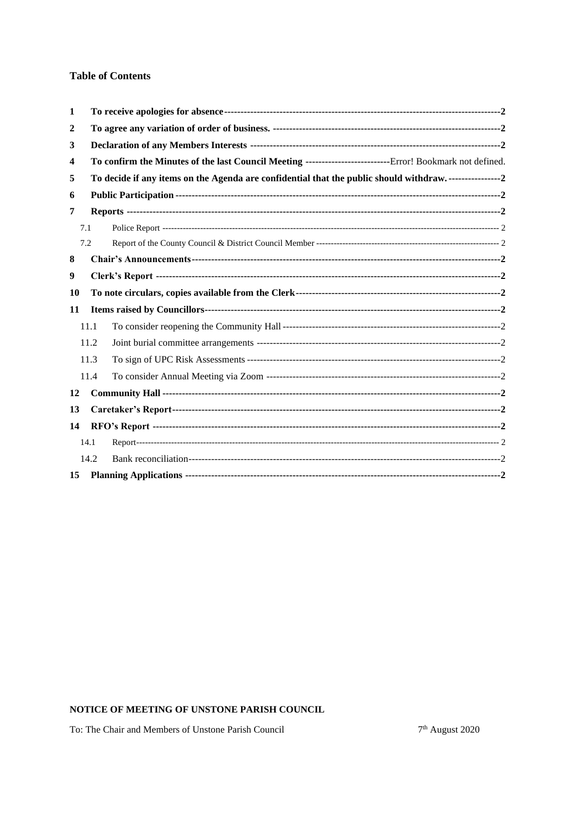## **Table of Contents**

| 1  |      |                                                                                                             |  |
|----|------|-------------------------------------------------------------------------------------------------------------|--|
| 2  |      |                                                                                                             |  |
| 3  |      |                                                                                                             |  |
| 4  |      | To confirm the Minutes of the last Council Meeting ----------------------------Error! Bookmark not defined. |  |
| 5  |      | To decide if any items on the Agenda are confidential that the public should withdraw. ----------------2    |  |
| 6  |      |                                                                                                             |  |
| 7  |      |                                                                                                             |  |
|    | 7.1  |                                                                                                             |  |
|    | 7.2  |                                                                                                             |  |
| 8  |      |                                                                                                             |  |
| 9  |      |                                                                                                             |  |
| 10 |      |                                                                                                             |  |
| 11 |      |                                                                                                             |  |
|    | 11.1 |                                                                                                             |  |
|    | 11.2 |                                                                                                             |  |
|    | 11.3 |                                                                                                             |  |
|    | 11.4 |                                                                                                             |  |
| 12 |      |                                                                                                             |  |
| 13 |      |                                                                                                             |  |
| 14 |      |                                                                                                             |  |
|    | 14.1 |                                                                                                             |  |
|    | 14.2 |                                                                                                             |  |
| 15 |      |                                                                                                             |  |

## NOTICE OF MEETING OF UNSTONE PARISH COUNCIL

To: The Chair and Members of Unstone Parish Council